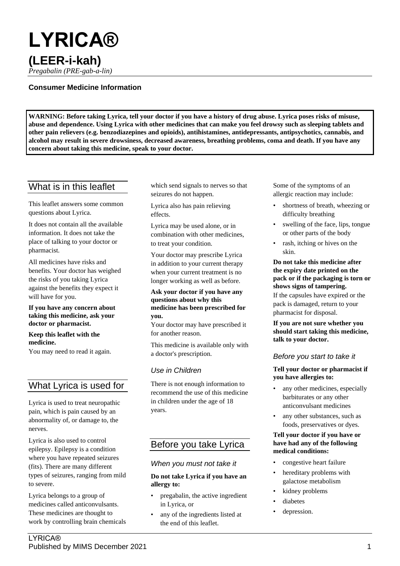# **LYRICA® (LEER-i-kah)**

*Pregabalin (PRE-gab-a-lin)*

# **Consumer Medicine Information**

**WARNING: Before taking Lyrica, tell your doctor if you have a history of drug abuse. Lyrica poses risks of misuse, abuse and dependence. Using Lyrica with other medicines that can make you feel drowsy such as sleeping tablets and other pain relievers (e.g. benzodiazepines and opioids), antihistamines, antidepressants, antipsychotics, cannabis, and alcohol may result in severe drowsiness, decreased awareness, breathing problems, coma and death. If you have any concern about taking this medicine, speak to your doctor.**

# What is in this leaflet

This leaflet answers some common questions about Lyrica.

It does not contain all the available information. It does not take the place of talking to your doctor or pharmacist.

All medicines have risks and benefits. Your doctor has weighed the risks of you taking Lyrica against the benefits they expect it will have for you.

#### **If you have any concern about taking this medicine, ask your doctor or pharmacist.**

#### **Keep this leaflet with the medicine.**

You may need to read it again.

# What Lyrica is used for

Lyrica is used to treat neuropathic pain, which is pain caused by an abnormality of, or damage to, the nerves.

Lyrica is also used to control epilepsy. Epilepsy is a condition where you have repeated seizures (fits). There are many different types of seizures, ranging from mild to severe.

Lyrica belongs to a group of medicines called anticonvulsants. These medicines are thought to work by controlling brain chemicals which send signals to nerves so that seizures do not happen.

Lyrica also has pain relieving effects.

Lyrica may be used alone, or in combination with other medicines, to treat your condition.

Your doctor may prescribe Lyrica in addition to your current therapy when your current treatment is no longer working as well as before.

#### **Ask your doctor if you have any questions about why this medicine has been prescribed for you.**

Your doctor may have prescribed it for another reason.

This medicine is available only with a doctor's prescription.

# *Use in Children*

There is not enough information to recommend the use of this medicine in children under the age of 18 years.

# Before you take Lyrica

# *When you must not take it*

#### **Do not take Lyrica if you have an allergy to:**

- pregabalin, the active ingredient in Lyrica, or
- any of the ingredients listed at the end of this leaflet.

Some of the symptoms of an allergic reaction may include:

- shortness of breath, wheezing or difficulty breathing
- swelling of the face, lips, tongue or other parts of the body
- rash, itching or hives on the skin.

**Do not take this medicine after the expiry date printed on the pack or if the packaging is torn or shows signs of tampering.** If the capsules have expired or the pack is damaged, return to your pharmacist for disposal.

**If you are not sure whether you should start taking this medicine, talk to your doctor.**

# *Before you start to take it*

#### **Tell your doctor or pharmacist if you have allergies to:**

- any other medicines, especially barbiturates or any other anticonvulsant medicines
- any other substances, such as foods, preservatives or dyes.

#### **Tell your doctor if you have or have had any of the following medical conditions:**

- congestive heart failure
- hereditary problems with galactose metabolism
- kidney problems
- diabetes
- depression.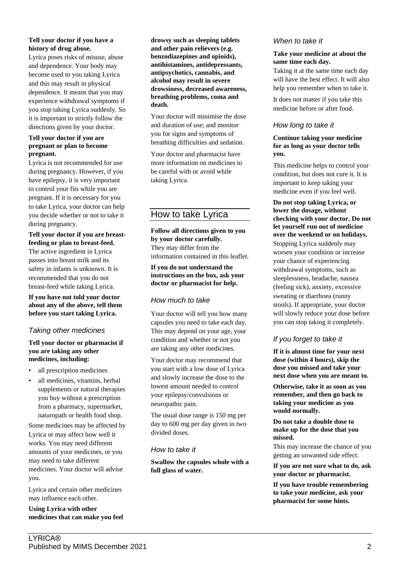#### **Tell your doctor if you have a history of drug abuse.**

Lyrica poses risks of misuse, abuse and dependence. Your body may become used to you taking Lyrica and this may result in physical dependence. It means that you may experience withdrawal symptoms if you stop taking Lyrica suddenly. So it is important to strictly follow the directions given by your doctor.

#### **Tell your doctor if you are pregnant or plan to become pregnant.**

Lyrica is not recommended for use during pregnancy. However, if you have epilepsy, it is very important to control your fits while you are pregnant. If it is necessary for you to take Lyrica, your doctor can help you decide whether or not to take it during pregnancy.

**Tell your doctor if you are breastfeeding or plan to breast-feed.** The active ingredient in Lyrica passes into breast milk and its safety in infants is unknown. It is recommended that you do not breast-feed while taking Lyrica.

**If you have not told your doctor about any of the above, tell them before you start taking Lyrica.**

# *Taking other medicines*

#### **Tell your doctor or pharmacist if you are taking any other medicines, including:**

- all prescription medicines
- all medicines, vitamins, herbal supplements or natural therapies you buy without a prescription from a pharmacy, supermarket, naturopath or health food shop.

Some medicines may be affected by Lyrica or may affect how well it works. You may need different amounts of your medicines, or you may need to take different medicines. Your doctor will advise you.

Lyrica and certain other medicines may influence each other.

**Using Lyrica with other medicines that can make you feel**  **drowsy such as sleeping tablets and other pain relievers (e.g. benzodiazepines and opioids), antihistamines, antidepressants, antipsychotics, cannabis, and alcohol may result in severe drowsiness, decreased awareness, breathing problems, coma and death.**

Your doctor will minimise the dose and duration of use; and monitor you for signs and symptoms of breathing difficulties and sedation.

Your doctor and pharmacist have more information on medicines to be careful with or avoid while taking Lyrica.

# How to take Lyrica

**Follow all directions given to you by your doctor carefully.** They may differ from the information contained in this leaflet.

#### **If you do not understand the instructions on the box, ask your doctor or pharmacist for help.**

# *How much to take*

Your doctor will tell you how many capsules you need to take each day. This may depend on your age, your condition and whether or not you are taking any other medicines.

Your doctor may recommend that you start with a low dose of Lyrica and slowly increase the dose to the lowest amount needed to control your epilepsy/convulsions or neuropathic pain.

The usual dose range is 150 mg per day to 600 mg per day given in two divided doses.

# *How to take it*

**Swallow the capsules whole with a full glass of water.**

# *When to take it*

#### **Take your medicine at about the same time each day.**

Taking it at the same time each day will have the best effect. It will also help you remember when to take it.

It does not matter if you take this medicine before or after food.

# *How long to take it*

**Continue taking your medicine for as long as your doctor tells you.**

This medicine helps to control your condition, but does not cure it. It is important to keep taking your medicine even if you feel well.

**Do not stop taking Lyrica, or lower the dosage, without checking with your doctor. Do not let yourself run out of medicine over the weekend or on holidays.** Stopping Lyrica suddenly may worsen your condition or increase your chance of experiencing withdrawal symptoms, such as sleeplessness, headache, nausea (feeling sick), anxiety, excessive sweating or diarrhoea (runny stools). If appropriate, your doctor will slowly reduce your dose before you can stop taking it completely.

# *If you forget to take it*

**If it is almost time for your next dose (within 4 hours), skip the dose you missed and take your next dose when you are meant to.**

**Otherwise, take it as soon as you remember, and then go back to taking your medicine as you would normally.**

**Do not take a double dose to make up for the dose that you missed.**

This may increase the chance of you getting an unwanted side effect.

**If you are not sure what to do, ask your doctor or pharmacist.**

**If you have trouble remembering to take your medicine, ask your pharmacist for some hints.**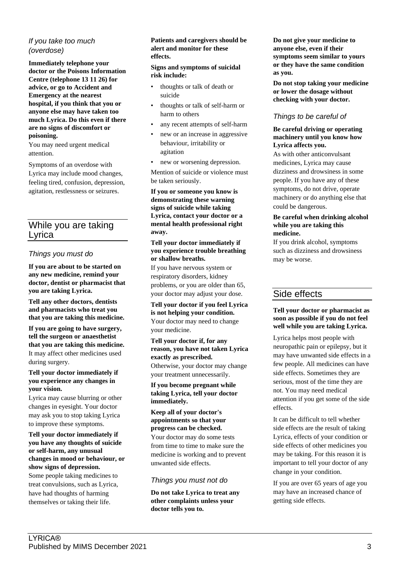# *If you take too much (overdose)*

**Immediately telephone your doctor or the Poisons Information Centre (telephone 13 11 26) for advice, or go to Accident and Emergency at the nearest hospital, if you think that you or anyone else may have taken too much Lyrica. Do this even if there are no signs of discomfort or poisoning.**

You may need urgent medical attention.

Symptoms of an overdose with Lyrica may include mood changes, feeling tired, confusion, depression, agitation, restlessness or seizures.

# While you are taking Lyrica

# *Things you must do*

**If you are about to be started on any new medicine, remind your doctor, dentist or pharmacist that you are taking Lyrica.**

**Tell any other doctors, dentists and pharmacists who treat you that you are taking this medicine.**

**If you are going to have surgery, tell the surgeon or anaesthetist that you are taking this medicine.** It may affect other medicines used during surgery.

**Tell your doctor immediately if you experience any changes in your vision.**

Lyrica may cause blurring or other changes in eyesight. Your doctor may ask you to stop taking Lyrica to improve these symptoms.

**Tell your doctor immediately if you have any thoughts of suicide or self-harm, any unusual changes in mood or behaviour, or show signs of depression.** Some people taking medicines to treat convulsions, such as Lyrica, have had thoughts of harming themselves or taking their life.

#### **Patients and caregivers should be alert and monitor for these effects.**

#### **Signs and symptoms of suicidal risk include:**

- thoughts or talk of death or suicide
- thoughts or talk of self-harm or harm to others
- any recent attempts of self-harm
- new or an increase in aggressive behaviour, irritability or agitation
- new or worsening depression.

Mention of suicide or violence must be taken seriously.

**If you or someone you know is demonstrating these warning signs of suicide while taking Lyrica, contact your doctor or a mental health professional right away.**

#### **Tell your doctor immediately if you experience trouble breathing or shallow breaths.**

If you have nervous system or respiratory disorders, kidney problems, or you are older than 65, your doctor may adjust your dose.

**Tell your doctor if you feel Lyrica is not helping your condition.** Your doctor may need to change your medicine.

**Tell your doctor if, for any reason, you have not taken Lyrica exactly as prescribed.** Otherwise, your doctor may change your treatment unnecessarily.

**If you become pregnant while taking Lyrica, tell your doctor immediately.**

#### **Keep all of your doctor's appointments so that your progress can be checked.**

Your doctor may do some tests from time to time to make sure the medicine is working and to prevent unwanted side effects.

# *Things you must not do*

**Do not take Lyrica to treat any other complaints unless your doctor tells you to.**

**Do not give your medicine to anyone else, even if their symptoms seem similar to yours or they have the same condition as you.**

**Do not stop taking your medicine or lower the dosage without checking with your doctor.**

# *Things to be careful of*

#### **Be careful driving or operating machinery until you know how Lyrica affects you.**

As with other anticonvulsant medicines, Lyrica may cause dizziness and drowsiness in some people. If you have any of these symptoms, do not drive, operate machinery or do anything else that could be dangerous.

#### **Be careful when drinking alcohol while you are taking this medicine.**

If you drink alcohol, symptoms such as dizziness and drowsiness may be worse.

# Side effects

#### **Tell your doctor or pharmacist as soon as possible if you do not feel well while you are taking Lyrica.**

Lyrica helps most people with neuropathic pain or epilepsy, but it may have unwanted side effects in a few people. All medicines can have side effects. Sometimes they are serious, most of the time they are not. You may need medical attention if you get some of the side effects.

It can be difficult to tell whether side effects are the result of taking Lyrica, effects of your condition or side effects of other medicines you may be taking. For this reason it is important to tell your doctor of any change in your condition.

If you are over 65 years of age you may have an increased chance of getting side effects.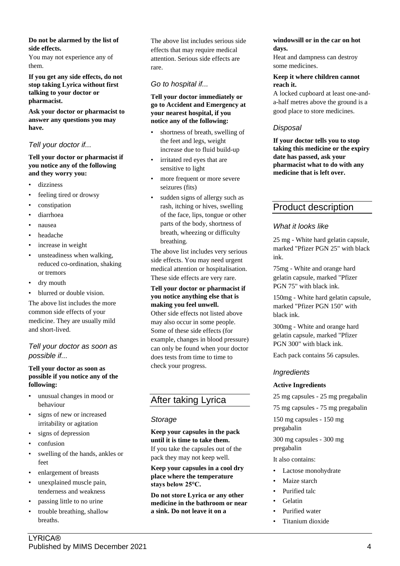#### **Do not be alarmed by the list of side effects.**

You may not experience any of them.

**If you get any side effects, do not stop taking Lyrica without first talking to your doctor or pharmacist.**

**Ask your doctor or pharmacist to answer any questions you may have.**

# *Tell your doctor if...*

#### **Tell your doctor or pharmacist if you notice any of the following and they worry you:**

- dizziness
- feeling tired or drowsy
- constipation
- diarrhoea
- nausea
- headache
- increase in weight
- unsteadiness when walking, reduced co-ordination, shaking or tremors
- dry mouth
- blurred or double vision.

The above list includes the more common side effects of your medicine. They are usually mild and short-lived.

# *Tell your doctor as soon as possible if...*

#### **Tell your doctor as soon as possible if you notice any of the following:**

- unusual changes in mood or behaviour
- signs of new or increased irritability or agitation
- signs of depression
- confusion
- swelling of the hands, ankles or feet
- enlargement of breasts
- unexplained muscle pain, tenderness and weakness
- passing little to no urine
- trouble breathing, shallow breaths.

The above list includes serious side effects that may require medical attention. Serious side effects are rare.

# *Go to hospital if...*

#### **Tell your doctor immediately or go to Accident and Emergency at your nearest hospital, if you notice any of the following:**

- shortness of breath, swelling of the feet and legs, weight increase due to fluid build-up
- irritated red eyes that are sensitive to light
- more frequent or more severe seizures (fits)
- sudden signs of allergy such as rash, itching or hives, swelling of the face, lips, tongue or other parts of the body, shortness of breath, wheezing or difficulty breathing.

The above list includes very serious side effects. You may need urgent medical attention or hospitalisation. These side effects are very rare.

#### **Tell your doctor or pharmacist if you notice anything else that is making you feel unwell.**

Other side effects not listed above may also occur in some people. Some of these side effects (for example, changes in blood pressure) can only be found when your doctor does tests from time to time to check your progress.

# After taking Lyrica

# *Storage*

**Keep your capsules in the pack until it is time to take them.** If you take the capsules out of the pack they may not keep well.

**Keep your capsules in a cool dry place where the temperature stays below 25°C.**

**Do not store Lyrica or any other medicine in the bathroom or near a sink. Do not leave it on a** 

#### **windowsill or in the car on hot days.**

Heat and dampness can destroy some medicines.

#### **Keep it where children cannot reach it.**

A locked cupboard at least one-anda-half metres above the ground is a good place to store medicines.

# *Disposal*

**If your doctor tells you to stop taking this medicine or the expiry date has passed, ask your pharmacist what to do with any medicine that is left over.**

# Product description

# *What it looks like*

25 mg - White hard gelatin capsule, marked "Pfizer PGN 25" with black ink.

75mg - White and orange hard gelatin capsule, marked "Pfizer PGN 75" with black ink.

150mg - White hard gelatin capsule, marked "Pfizer PGN 150" with black ink.

300mg - White and orange hard gelatin capsule, marked "Pfizer PGN 300" with black ink.

Each pack contains 56 capsules.

# *Ingredients*

#### **Active Ingredients**

25 mg capsules - 25 mg pregabalin

75 mg capsules - 75 mg pregabalin

150 mg capsules - 150 mg

pregabalin

300 mg capsules - 300 mg pregabalin

- It also contains:
- Lactose monohydrate
- Maize starch
- Purified talc
- Gelatin
- Purified water
- Titanium dioxide